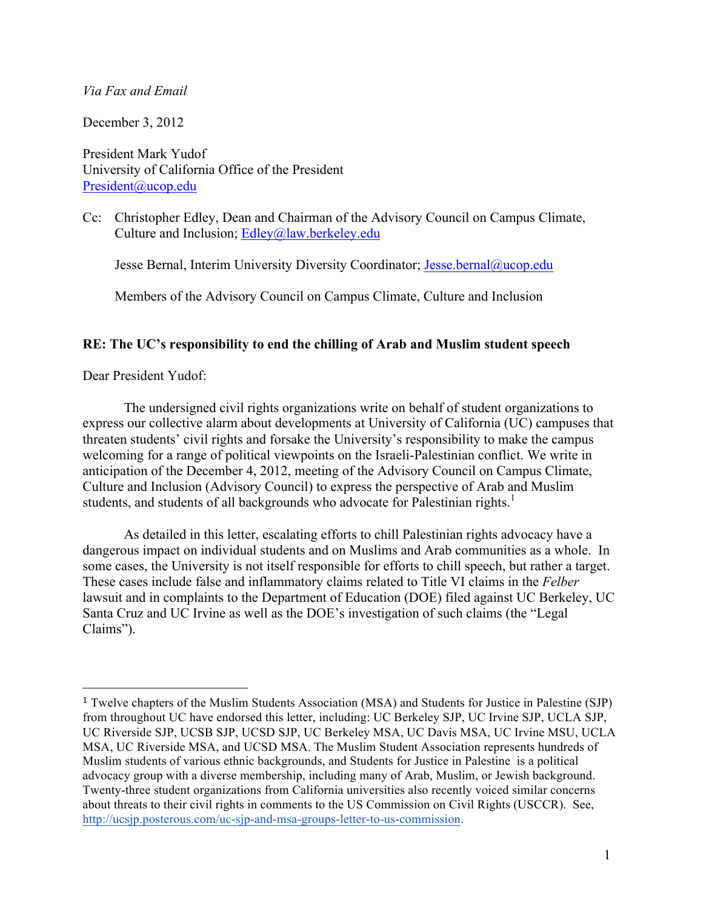### *Via Fax and Email*

December 3, 2012

President Mark Yudof University of California Office of the President President@ucop.edu

Cc: Christopher Edley, Dean and Chairman of the Advisory Council on Campus Climate, Culture and Inclusion; Edley@law.berkeley.edu

Jesse Bernal, Interim University Diversity Coordinator; Jesse.bernal@ucop.edu

Members of the Advisory Council on Campus Climate, Culture and Inclusion

## **RE: The UC's responsibility to end the chilling of Arab and Muslim student speech**

Dear President Yudof:

 

The undersigned civil rights organizations write on behalf of student organizations to express our collective alarm about developments at University of California (UC) campuses that threaten students' civil rights and forsake the University's responsibility to make the campus welcoming for a range of political viewpoints on the Israeli-Palestinian conflict. We write in anticipation of the December 4, 2012, meeting of the Advisory Council on Campus Climate, Culture and Inclusion (Advisory Council) to express the perspective of Arab and Muslim students, and students of all backgrounds who advocate for Palestinian rights.<sup>1</sup>

As detailed in this letter, escalating efforts to chill Palestinian rights advocacy have a dangerous impact on individual students and on Muslims and Arab communities as a whole. In some cases, the University is not itself responsible for efforts to chill speech, but rather a target. These cases include false and inflammatory claims related to Title VI claims in the *Felber*  lawsuit and in complaints to the Department of Education (DOE) filed against UC Berkeley, UC Santa Cruz and UC Irvine as well as the DOE's investigation of such claims (the "Legal Claims").

<sup>1</sup> Twelve chapters of the Muslim Students Association (MSA) and Students for Justice in Palestine (SJP) from throughout UC have endorsed this letter, including: UC Berkeley SJP, UC Irvine SJP, UCLA SJP, UC Riverside SJP, UCSB SJP, UCSD SJP, UC Berkeley MSA, UC Davis MSA, UC Irvine MSU, UCLA MSA, UC Riverside MSA, and UCSD MSA. The Muslim Student Association represents hundreds of Muslim students of various ethnic backgrounds, and Students for Justice in Palestine is a political advocacy group with a diverse membership, including many of Arab, Muslim, or Jewish background. Twenty-three student organizations from California universities also recently voiced similar concerns about threats to their civil rights in comments to the US Commission on Civil Rights (USCCR). See, http://ucsjp.posterous.com/uc-sjp-and-msa-groups-letter-to-us-commission.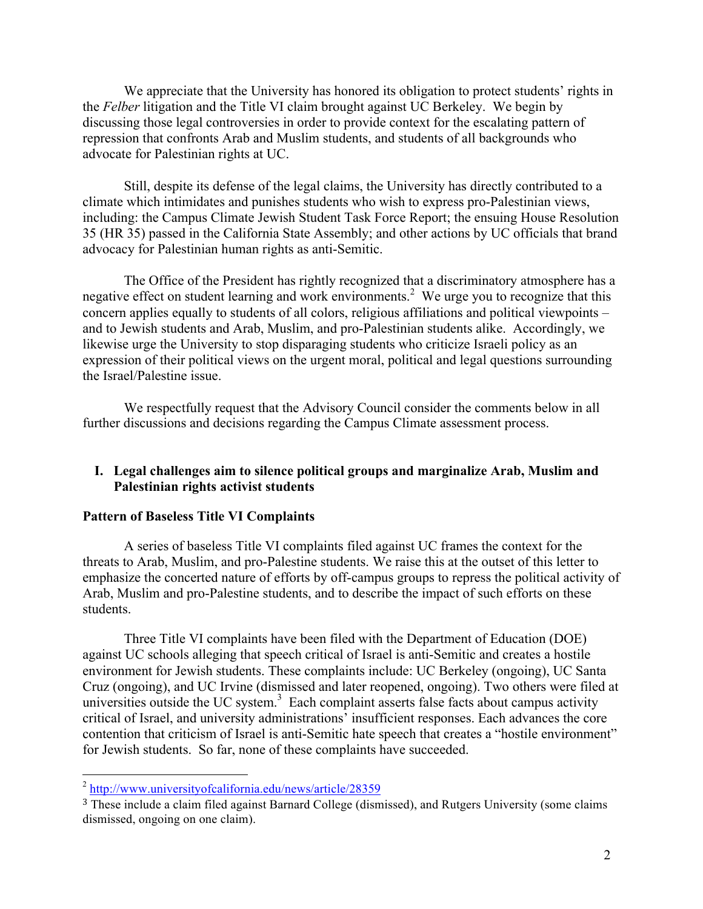We appreciate that the University has honored its obligation to protect students' rights in the *Felber* litigation and the Title VI claim brought against UC Berkeley. We begin by discussing those legal controversies in order to provide context for the escalating pattern of repression that confronts Arab and Muslim students, and students of all backgrounds who advocate for Palestinian rights at UC.

Still, despite its defense of the legal claims, the University has directly contributed to a climate which intimidates and punishes students who wish to express pro-Palestinian views, including: the Campus Climate Jewish Student Task Force Report; the ensuing House Resolution 35 (HR 35) passed in the California State Assembly; and other actions by UC officials that brand advocacy for Palestinian human rights as anti-Semitic.

The Office of the President has rightly recognized that a discriminatory atmosphere has a negative effect on student learning and work environments.<sup>2</sup> We urge you to recognize that this concern applies equally to students of all colors, religious affiliations and political viewpoints – and to Jewish students and Arab, Muslim, and pro-Palestinian students alike. Accordingly, we likewise urge the University to stop disparaging students who criticize Israeli policy as an expression of their political views on the urgent moral, political and legal questions surrounding the Israel/Palestine issue.

We respectfully request that the Advisory Council consider the comments below in all further discussions and decisions regarding the Campus Climate assessment process.

# **I. Legal challenges aim to silence political groups and marginalize Arab, Muslim and Palestinian rights activist students**

### **Pattern of Baseless Title VI Complaints**

A series of baseless Title VI complaints filed against UC frames the context for the threats to Arab, Muslim, and pro-Palestine students. We raise this at the outset of this letter to emphasize the concerted nature of efforts by off-campus groups to repress the political activity of Arab, Muslim and pro-Palestine students, and to describe the impact of such efforts on these students.

Three Title VI complaints have been filed with the Department of Education (DOE) against UC schools alleging that speech critical of Israel is anti-Semitic and creates a hostile environment for Jewish students. These complaints include: UC Berkeley (ongoing), UC Santa Cruz (ongoing), and UC Irvine (dismissed and later reopened, ongoing). Two others were filed at universities outside the UC system. $3$  Each complaint asserts false facts about campus activity critical of Israel, and university administrations' insufficient responses. Each advances the core contention that criticism of Israel is anti-Semitic hate speech that creates a "hostile environment" for Jewish students. So far, none of these complaints have succeeded.

<sup>&</sup>lt;sup>2</sup> http://www.universityofcalifornia.edu/news/article/28359

<sup>3</sup> These include a claim filed against Barnard College (dismissed), and Rutgers University (some claims dismissed, ongoing on one claim).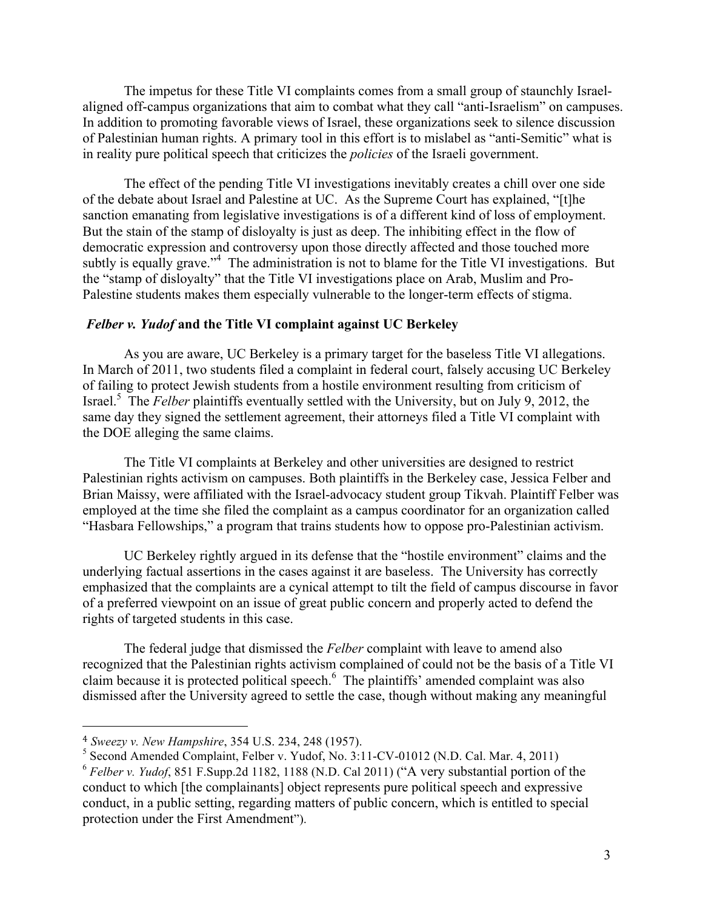The impetus for these Title VI complaints comes from a small group of staunchly Israelaligned off-campus organizations that aim to combat what they call "anti-Israelism" on campuses. In addition to promoting favorable views of Israel, these organizations seek to silence discussion of Palestinian human rights. A primary tool in this effort is to mislabel as "anti-Semitic" what is in reality pure political speech that criticizes the *policies* of the Israeli government.

The effect of the pending Title VI investigations inevitably creates a chill over one side of the debate about Israel and Palestine at UC. As the Supreme Court has explained, "[t]he sanction emanating from legislative investigations is of a different kind of loss of employment. But the stain of the stamp of disloyalty is just as deep. The inhibiting effect in the flow of democratic expression and controversy upon those directly affected and those touched more subtly is equally grave."<sup>4</sup> The administration is not to blame for the Title VI investigations. But the "stamp of disloyalty" that the Title VI investigations place on Arab, Muslim and Pro-Palestine students makes them especially vulnerable to the longer-term effects of stigma.

#### *Felber v. Yudof* **and the Title VI complaint against UC Berkeley**

As you are aware, UC Berkeley is a primary target for the baseless Title VI allegations. In March of 2011, two students filed a complaint in federal court, falsely accusing UC Berkeley of failing to protect Jewish students from a hostile environment resulting from criticism of Israel. <sup>5</sup> The *Felber* plaintiffs eventually settled with the University, but on July 9, 2012, the same day they signed the settlement agreement, their attorneys filed a Title VI complaint with the DOE alleging the same claims.

The Title VI complaints at Berkeley and other universities are designed to restrict Palestinian rights activism on campuses. Both plaintiffs in the Berkeley case, Jessica Felber and Brian Maissy, were affiliated with the Israel-advocacy student group Tikvah. Plaintiff Felber was employed at the time she filed the complaint as a campus coordinator for an organization called "Hasbara Fellowships," a program that trains students how to oppose pro-Palestinian activism.

UC Berkeley rightly argued in its defense that the "hostile environment" claims and the underlying factual assertions in the cases against it are baseless. The University has correctly emphasized that the complaints are a cynical attempt to tilt the field of campus discourse in favor of a preferred viewpoint on an issue of great public concern and properly acted to defend the rights of targeted students in this case.

The federal judge that dismissed the *Felber* complaint with leave to amend also recognized that the Palestinian rights activism complained of could not be the basis of a Title VI claim because it is protected political speech. <sup>6</sup> The plaintiffs' amended complaint was also dismissed after the University agreed to settle the case, though without making any meaningful

<sup>4</sup> *Sweezy v. New Hampshire*, 354 U.S. 234, 248 (1957).

<sup>5</sup> Second Amended Complaint, Felber v. Yudof, No. 3:11-CV-01012 (N.D. Cal. Mar. 4, 2011)

<sup>6</sup> *Felber v. Yudof*, 851 F.Supp.2d 1182, 1188 (N.D. Cal 2011) ("A very substantial portion of the conduct to which [the complainants] object represents pure political speech and expressive conduct, in a public setting, regarding matters of public concern, which is entitled to special protection under the First Amendment").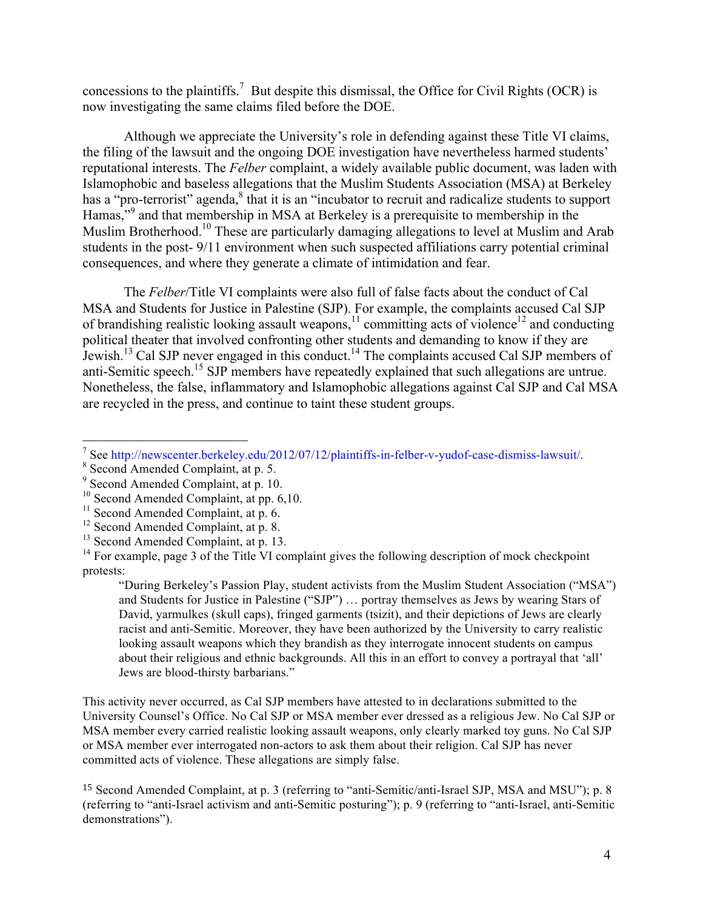concessions to the plaintiffs.<sup>7</sup> But despite this dismissal, the Office for Civil Rights (OCR) is now investigating the same claims filed before the DOE.

Although we appreciate the University's role in defending against these Title VI claims, the filing of the lawsuit and the ongoing DOE investigation have nevertheless harmed students' reputational interests. The *Felber* complaint, a widely available public document, was laden with Islamophobic and baseless allegations that the Muslim Students Association (MSA) at Berkeley has a "pro-terrorist" agenda,<sup>8</sup> that it is an "incubator to recruit and radicalize students to support Hamas,"<sup>9</sup> and that membership in MSA at Berkeley is a prerequisite to membership in the Muslim Brotherhood.<sup>10</sup> These are particularly damaging allegations to level at Muslim and Arab students in the post- 9/11 environment when such suspected affiliations carry potential criminal consequences, and where they generate a climate of intimidation and fear.

The *Felber*/Title VI complaints were also full of false facts about the conduct of Cal MSA and Students for Justice in Palestine (SJP). For example, the complaints accused Cal SJP of brandishing realistic looking assault weapons,  $\frac{11}{11}$  committing acts of violence<sup>12</sup> and conducting political theater that involved confronting other students and demanding to know if they are Jewish.<sup>13</sup> Cal SJP never engaged in this conduct.14 The complaints accused Cal SJP members of anti-Semitic speech.<sup>15</sup> SJP members have repeatedly explained that such allegations are untrue. Nonetheless, the false, inflammatory and Islamophobic allegations against Cal SJP and Cal MSA are recycled in the press, and continue to taint these student groups.

 

"During Berkeley's Passion Play, student activists from the Muslim Student Association ("MSA") and Students for Justice in Palestine ("SJP") … portray themselves as Jews by wearing Stars of David, yarmulkes (skull caps), fringed garments (tsizit), and their depictions of Jews are clearly racist and anti-Semitic. Moreover, they have been authorized by the University to carry realistic looking assault weapons which they brandish as they interrogate innocent students on campus about their religious and ethnic backgrounds. All this in an effort to convey a portrayal that 'all' Jews are blood-thirsty barbarians."

This activity never occurred, as Cal SJP members have attested to in declarations submitted to the University Counsel's Office. No Cal SJP or MSA member ever dressed as a religious Jew. No Cal SJP or MSA member every carried realistic looking assault weapons, only clearly marked toy guns. No Cal SJP or MSA member ever interrogated non-actors to ask them about their religion. Cal SJP has never committed acts of violence. These allegations are simply false.

<sup>&</sup>lt;sup>7</sup> See http://newscenter.berkeley.edu/2012/07/12/plaintiffs-in-felber-v-yudof-case-dismiss-lawsuit/. <sup>8</sup> Second Amended Complaint, at p. 5.

<sup>&</sup>lt;sup>9</sup> Second Amended Complaint, at p. 10.

<sup>&</sup>lt;sup>10</sup> Second Amended Complaint, at pp. 6,10.

 $11$  Second Amended Complaint, at p. 6.

 $12$  Second Amended Complaint, at p. 8.

<sup>&</sup>lt;sup>13</sup> Second Amended Complaint, at p. 13.

 $14$  For example, page 3 of the Title VI complaint gives the following description of mock checkpoint protests:

<sup>15</sup> Second Amended Complaint, at p. 3 (referring to "anti-Semitic/anti-Israel SJP, MSA and MSU"); p. 8 (referring to "anti-Israel activism and anti-Semitic posturing"); p. 9 (referring to "anti-Israel, anti-Semitic demonstrations").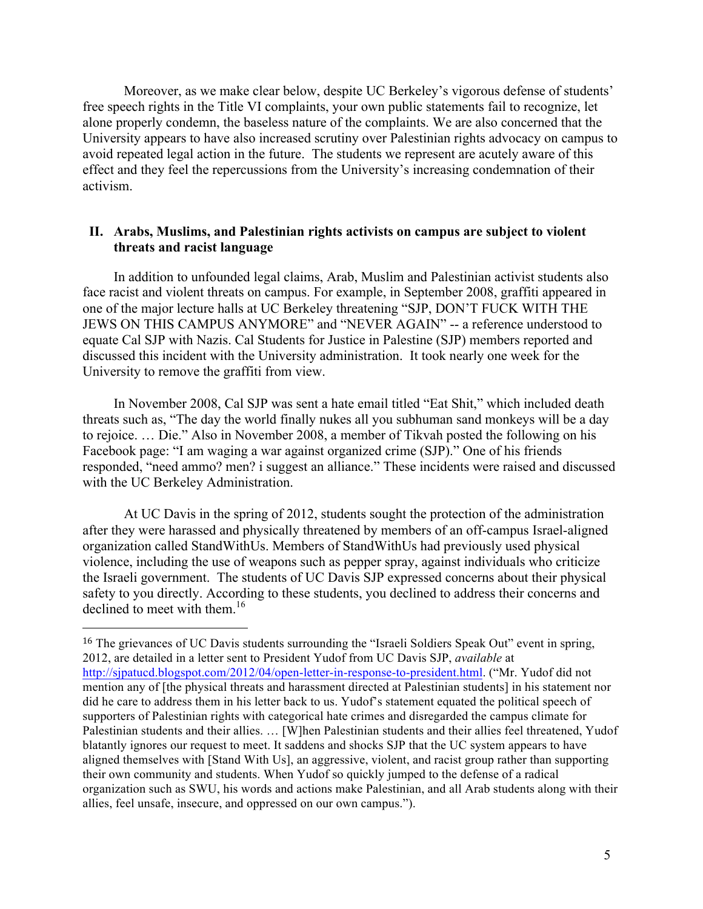Moreover, as we make clear below, despite UC Berkeley's vigorous defense of students' free speech rights in the Title VI complaints, your own public statements fail to recognize, let alone properly condemn, the baseless nature of the complaints. We are also concerned that the University appears to have also increased scrutiny over Palestinian rights advocacy on campus to avoid repeated legal action in the future. The students we represent are acutely aware of this effect and they feel the repercussions from the University's increasing condemnation of their activism.

#### **II. Arabs, Muslims, and Palestinian rights activists on campus are subject to violent threats and racist language**

In addition to unfounded legal claims, Arab, Muslim and Palestinian activist students also face racist and violent threats on campus. For example, in September 2008, graffiti appeared in one of the major lecture halls at UC Berkeley threatening "SJP, DON'T FUCK WITH THE JEWS ON THIS CAMPUS ANYMORE" and "NEVER AGAIN" -- a reference understood to equate Cal SJP with Nazis. Cal Students for Justice in Palestine (SJP) members reported and discussed this incident with the University administration. It took nearly one week for the University to remove the graffiti from view.

In November 2008, Cal SJP was sent a hate email titled "Eat Shit," which included death threats such as, "The day the world finally nukes all you subhuman sand monkeys will be a day to rejoice. … Die." Also in November 2008, a member of Tikvah posted the following on his Facebook page: "I am waging a war against organized crime (SJP)." One of his friends responded, "need ammo? men? i suggest an alliance." These incidents were raised and discussed with the UC Berkeley Administration.

At UC Davis in the spring of 2012, students sought the protection of the administration after they were harassed and physically threatened by members of an off-campus Israel-aligned organization called StandWithUs. Members of StandWithUs had previously used physical violence, including the use of weapons such as pepper spray, against individuals who criticize the Israeli government. The students of UC Davis SJP expressed concerns about their physical safety to you directly. According to these students, you declined to address their concerns and declined to meet with them.<sup>16</sup>

<sup>&</sup>lt;sup>16</sup> The grievances of UC Davis students surrounding the "Israeli Soldiers Speak Out" event in spring, 2012, are detailed in a letter sent to President Yudof from UC Davis SJP, *available* at http://sjpatucd.blogspot.com/2012/04/open-letter-in-response-to-president.html. ("Mr. Yudof did not mention any of [the physical threats and harassment directed at Palestinian students] in his statement nor did he care to address them in his letter back to us. Yudof's statement equated the political speech of supporters of Palestinian rights with categorical hate crimes and disregarded the campus climate for Palestinian students and their allies. … [W]hen Palestinian students and their allies feel threatened, Yudof blatantly ignores our request to meet. It saddens and shocks SJP that the UC system appears to have aligned themselves with [Stand With Us], an aggressive, violent, and racist group rather than supporting their own community and students. When Yudof so quickly jumped to the defense of a radical organization such as SWU, his words and actions make Palestinian, and all Arab students along with their allies, feel unsafe, insecure, and oppressed on our own campus.").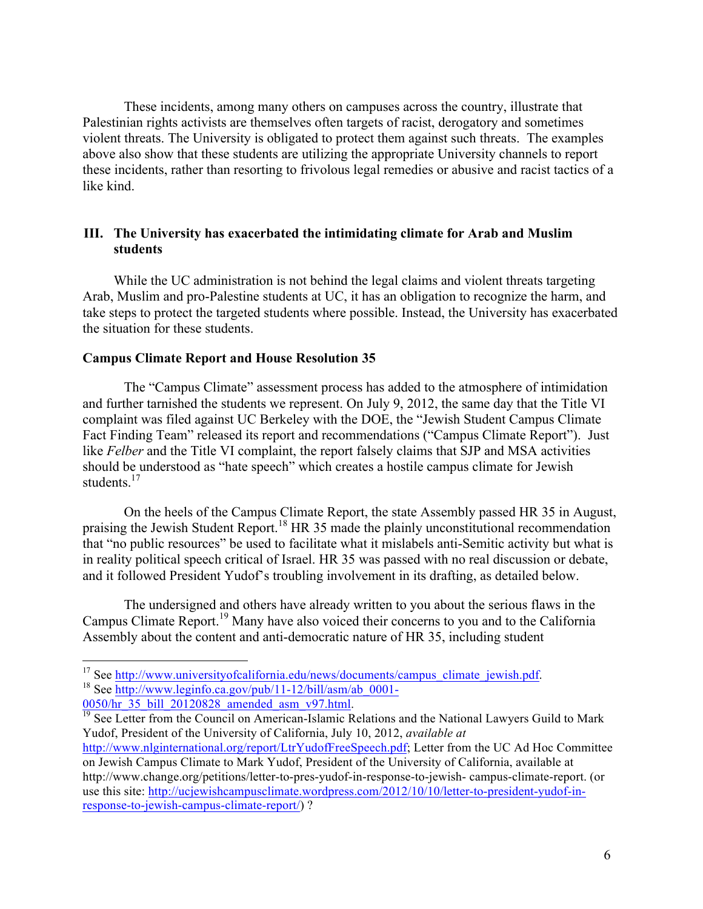These incidents, among many others on campuses across the country, illustrate that Palestinian rights activists are themselves often targets of racist, derogatory and sometimes violent threats. The University is obligated to protect them against such threats. The examples above also show that these students are utilizing the appropriate University channels to report these incidents, rather than resorting to frivolous legal remedies or abusive and racist tactics of a like kind.

## **III. The University has exacerbated the intimidating climate for Arab and Muslim students**

While the UC administration is not behind the legal claims and violent threats targeting Arab, Muslim and pro-Palestine students at UC, it has an obligation to recognize the harm, and take steps to protect the targeted students where possible. Instead, the University has exacerbated the situation for these students.

#### **Campus Climate Report and House Resolution 35**

The "Campus Climate" assessment process has added to the atmosphere of intimidation and further tarnished the students we represent. On July 9, 2012, the same day that the Title VI complaint was filed against UC Berkeley with the DOE, the "Jewish Student Campus Climate Fact Finding Team" released its report and recommendations ("Campus Climate Report"). Just like *Felber* and the Title VI complaint, the report falsely claims that SJP and MSA activities should be understood as "hate speech" which creates a hostile campus climate for Jewish students $17$ 

On the heels of the Campus Climate Report, the state Assembly passed HR 35 in August, praising the Jewish Student Report.<sup>18</sup> HR 35 made the plainly unconstitutional recommendation that "no public resources" be used to facilitate what it mislabels anti-Semitic activity but what is in reality political speech critical of Israel. HR 35 was passed with no real discussion or debate, and it followed President Yudof's troubling involvement in its drafting, as detailed below.

The undersigned and others have already written to you about the serious flaws in the Campus Climate Report. <sup>19</sup> Many have also voiced their concerns to you and to the California Assembly about the content and anti-democratic nature of HR 35, including student

<sup>&</sup>lt;sup>17</sup> See http://www.universityofcalifornia.edu/news/documents/campus\_climate\_jewish.pdf. <sup>18</sup> See http://www.leginfo.ca.gov/pub/11-12/bill/asm/ab\_0001-

 $\frac{0050/hr}{^{19}}$  See Letter from the Council on American-Islamic Relations and the National Lawyers Guild to Mark Yudof, President of the University of California, July 10, 2012, *available at* http://www.nlginternational.org/report/LtrYudofFreeSpeech.pdf; Letter from the UC Ad Hoc Committee on Jewish Campus Climate to Mark Yudof, President of the University of California, available at http://www.change.org/petitions/letter-to-pres-yudof-in-response-to-jewish- campus-climate-report. (or use this site: http://ucjewishcampusclimate.wordpress.com/2012/10/10/letter-to-president-yudof-in-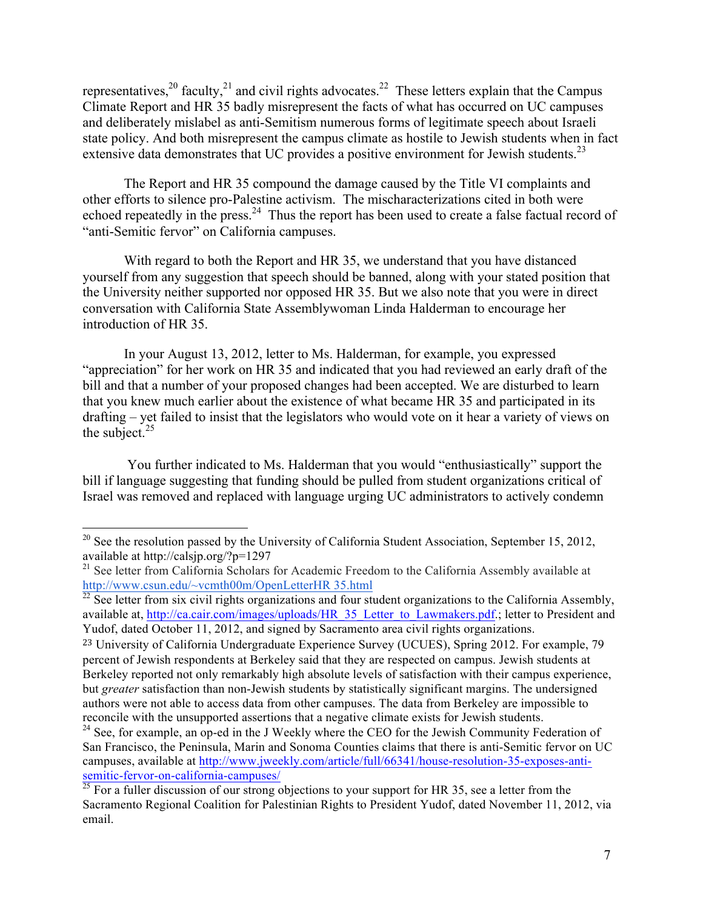representatives,<sup>20</sup> faculty,<sup>21</sup> and civil rights advocates.<sup>22</sup> These letters explain that the Campus Climate Report and HR 35 badly misrepresent the facts of what has occurred on UC campuses and deliberately mislabel as anti-Semitism numerous forms of legitimate speech about Israeli state policy. And both misrepresent the campus climate as hostile to Jewish students when in fact extensive data demonstrates that UC provides a positive environment for Jewish students.<sup>23</sup>

The Report and HR 35 compound the damage caused by the Title VI complaints and other efforts to silence pro-Palestine activism. The mischaracterizations cited in both were echoed repeatedly in the press.<sup>24</sup> Thus the report has been used to create a false factual record of "anti-Semitic fervor" on California campuses.

With regard to both the Report and HR 35, we understand that you have distanced yourself from any suggestion that speech should be banned, along with your stated position that the University neither supported nor opposed HR 35. But we also note that you were in direct conversation with California State Assemblywoman Linda Halderman to encourage her introduction of HR 35.

In your August 13, 2012, letter to Ms. Halderman, for example, you expressed "appreciation" for her work on HR 35 and indicated that you had reviewed an early draft of the bill and that a number of your proposed changes had been accepted. We are disturbed to learn that you knew much earlier about the existence of what became HR 35 and participated in its drafting – yet failed to insist that the legislators who would vote on it hear a variety of views on the subject. $25$ 

You further indicated to Ms. Halderman that you would "enthusiastically" support the bill if language suggesting that funding should be pulled from student organizations critical of Israel was removed and replaced with language urging UC administrators to actively condemn

<sup>&</sup>lt;sup>20</sup> See the resolution passed by the University of California Student Association, September 15, 2012, available at http://calsjp.org/?p=1297

<sup>&</sup>lt;sup>21</sup> See letter from California Scholars for Academic Freedom to the California Assembly available at http://www.csun.edu/~vcmth00m/OpenLetterHR 35.html

 $^{22}$  See letter from six civil rights organizations and four student organizations to the California Assembly, available at, http://ca.cair.com/images/uploads/HR\_35\_Letter\_to\_Lawmakers.pdf.; letter to President and Yudof, dated October 11, 2012, and signed by Sacramento area civil rights organizations.

<sup>23</sup> University of California Undergraduate Experience Survey (UCUES), Spring 2012. For example, 79 percent of Jewish respondents at Berkeley said that they are respected on campus. Jewish students at Berkeley reported not only remarkably high absolute levels of satisfaction with their campus experience, but *greater* satisfaction than non-Jewish students by statistically significant margins. The undersigned authors were not able to access data from other campuses. The data from Berkeley are impossible to reconcile with the unsupported assertions that a negative climate exists for Jewish students.

 $24$  See, for example, an op-ed in the J Weekly where the CEO for the Jewish Community Federation of San Francisco, the Peninsula, Marin and Sonoma Counties claims that there is anti-Semitic fervor on UC campuses, available at http://www.jweekly.com/article/full/66341/house-resolution-35-exposes-antisemitic-fervor-on-california-campuses/

<sup>&</sup>lt;sup>25</sup> For a fuller discussion of our strong objections to your support for HR 35, see a letter from the Sacramento Regional Coalition for Palestinian Rights to President Yudof, dated November 11, 2012, via email.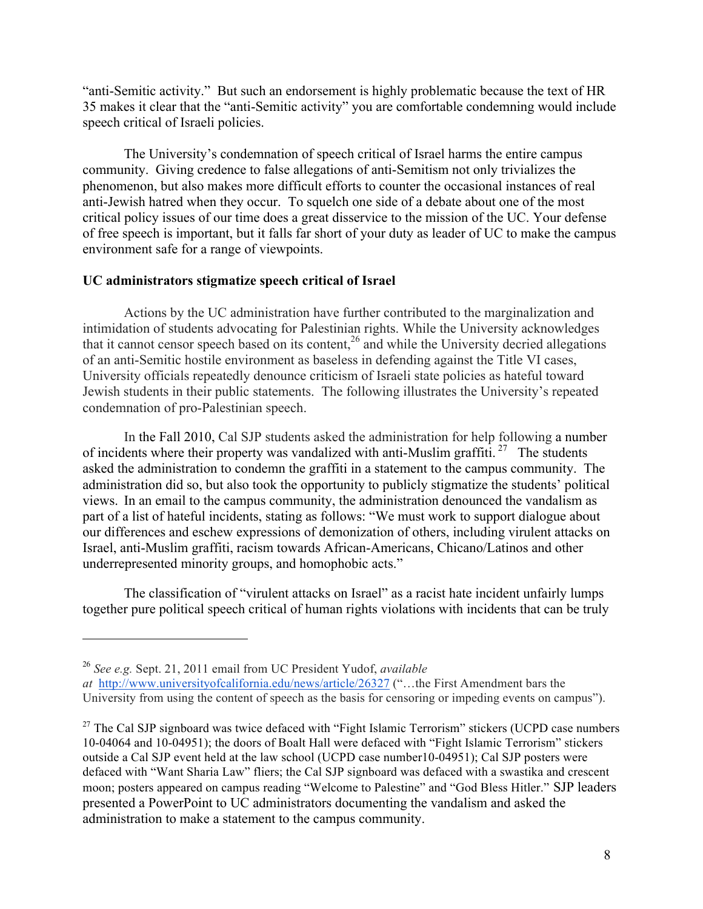"anti-Semitic activity." But such an endorsement is highly problematic because the text of HR 35 makes it clear that the "anti-Semitic activity" you are comfortable condemning would include speech critical of Israeli policies.

The University's condemnation of speech critical of Israel harms the entire campus community. Giving credence to false allegations of anti-Semitism not only trivializes the phenomenon, but also makes more difficult efforts to counter the occasional instances of real anti-Jewish hatred when they occur. To squelch one side of a debate about one of the most critical policy issues of our time does a great disservice to the mission of the UC. Your defense of free speech is important, but it falls far short of your duty as leader of UC to make the campus environment safe for a range of viewpoints.

### **UC administrators stigmatize speech critical of Israel**

Actions by the UC administration have further contributed to the marginalization and intimidation of students advocating for Palestinian rights. While the University acknowledges that it cannot censor speech based on its content,<sup>26</sup> and while the University decried allegations of an anti-Semitic hostile environment as baseless in defending against the Title VI cases, University officials repeatedly denounce criticism of Israeli state policies as hateful toward Jewish students in their public statements. The following illustrates the University's repeated condemnation of pro-Palestinian speech.

In the Fall 2010, Cal SJP students asked the administration for help following a number of incidents where their property was vandalized with anti-Muslim graffiti.  $27$  The students asked the administration to condemn the graffiti in a statement to the campus community. The administration did so, but also took the opportunity to publicly stigmatize the students' political views. In an email to the campus community, the administration denounced the vandalism as part of a list of hateful incidents, stating as follows: "We must work to support dialogue about our differences and eschew expressions of demonization of others, including virulent attacks on Israel, anti-Muslim graffiti, racism towards African-Americans, Chicano/Latinos and other underrepresented minority groups, and homophobic acts."

The classification of "virulent attacks on Israel" as a racist hate incident unfairly lumps together pure political speech critical of human rights violations with incidents that can be truly

<sup>26</sup> *See e.g.* Sept. 21, 2011 email from UC President Yudof, *available* 

*at* http://www.universityofcalifornia.edu/news/article/26327 ("…the First Amendment bars the University from using the content of speech as the basis for censoring or impeding events on campus").

 $27$  The Cal SJP signboard was twice defaced with "Fight Islamic Terrorism" stickers (UCPD case numbers 10-04064 and 10-04951); the doors of Boalt Hall were defaced with "Fight Islamic Terrorism" stickers outside a Cal SJP event held at the law school (UCPD case number10-04951); Cal SJP posters were defaced with "Want Sharia Law" fliers; the Cal SJP signboard was defaced with a swastika and crescent moon; posters appeared on campus reading "Welcome to Palestine" and "God Bless Hitler." SJP leaders presented a PowerPoint to UC administrators documenting the vandalism and asked the administration to make a statement to the campus community.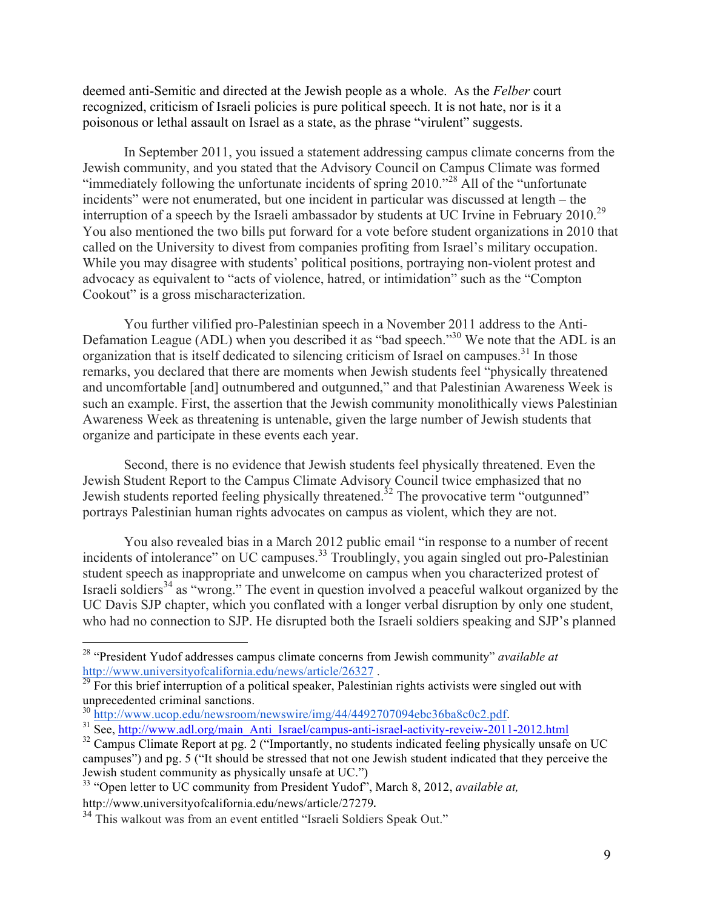deemed anti-Semitic and directed at the Jewish people as a whole. As the *Felber* court recognized, criticism of Israeli policies is pure political speech. It is not hate, nor is it a poisonous or lethal assault on Israel as a state, as the phrase "virulent" suggests.

In September 2011, you issued a statement addressing campus climate concerns from the Jewish community, and you stated that the Advisory Council on Campus Climate was formed "immediately following the unfortunate incidents of spring 2010."<sup>28</sup> All of the "unfortunate incidents" were not enumerated, but one incident in particular was discussed at length – the interruption of a speech by the Israeli ambassador by students at UC Irvine in February 2010.<sup>29</sup> You also mentioned the two bills put forward for a vote before student organizations in 2010 that called on the University to divest from companies profiting from Israel's military occupation. While you may disagree with students' political positions, portraying non-violent protest and advocacy as equivalent to "acts of violence, hatred, or intimidation" such as the "Compton Cookout" is a gross mischaracterization.

You further vilified pro-Palestinian speech in a November 2011 address to the Anti-Defamation League (ADL) when you described it as "bad speech."<sup>30</sup> We note that the ADL is an organization that is itself dedicated to silencing criticism of Israel on campuses.<sup>31</sup> In those remarks, you declared that there are moments when Jewish students feel "physically threatened and uncomfortable [and] outnumbered and outgunned," and that Palestinian Awareness Week is such an example. First, the assertion that the Jewish community monolithically views Palestinian Awareness Week as threatening is untenable, given the large number of Jewish students that organize and participate in these events each year.

Second, there is no evidence that Jewish students feel physically threatened. Even the Jewish Student Report to the Campus Climate Advisory Council twice emphasized that no Jewish students reported feeling physically threatened.<sup>32</sup> The provocative term "outgunned" portrays Palestinian human rights advocates on campus as violent, which they are not.

You also revealed bias in a March 2012 public email "in response to a number of recent incidents of intolerance" on UC campuses.<sup>33</sup> Troublingly, you again singled out pro-Palestinian student speech as inappropriate and unwelcome on campus when you characterized protest of Israeli soldiers<sup>34</sup> as "wrong." The event in question involved a peaceful walkout organized by the UC Davis SJP chapter, which you conflated with a longer verbal disruption by only one student, who had no connection to SJP. He disrupted both the Israeli soldiers speaking and SJP's planned

<sup>28</sup> "President Yudof addresses campus climate concerns from Jewish community" *available at* http://www.universityofcalifornia.edu/news/article/26327.<br><sup>29</sup> For this brief interruption of a political speaker, Palestinian rights activists were singled out with

unprecedented criminal sanctions.<br><sup>30</sup> http://www.ucop.edu/newsroom/newswire/img/44/4492707094ebc36ba8c0c2.pdf.

 $31$  See, http://www.adl.org/main\_Anti\_Israel/campus-anti-israel-activity-reveiw-2011-2012.html

 $32$  Campus Climate Report at pg. 2 ("Importantly, no students indicated feeling physically unsafe on UC campuses") and pg. 5 ("It should be stressed that not one Jewish student indicated that they perceive the Jewish student community as physically unsafe at UC.")

<sup>33</sup> "Open letter to UC community from President Yudof", March 8, 2012, *available at,*  http://www.universityofcalifornia.edu/news/article/27279. <sup>34</sup> This walkout was from an event entitled "Israeli Soldiers Speak Out."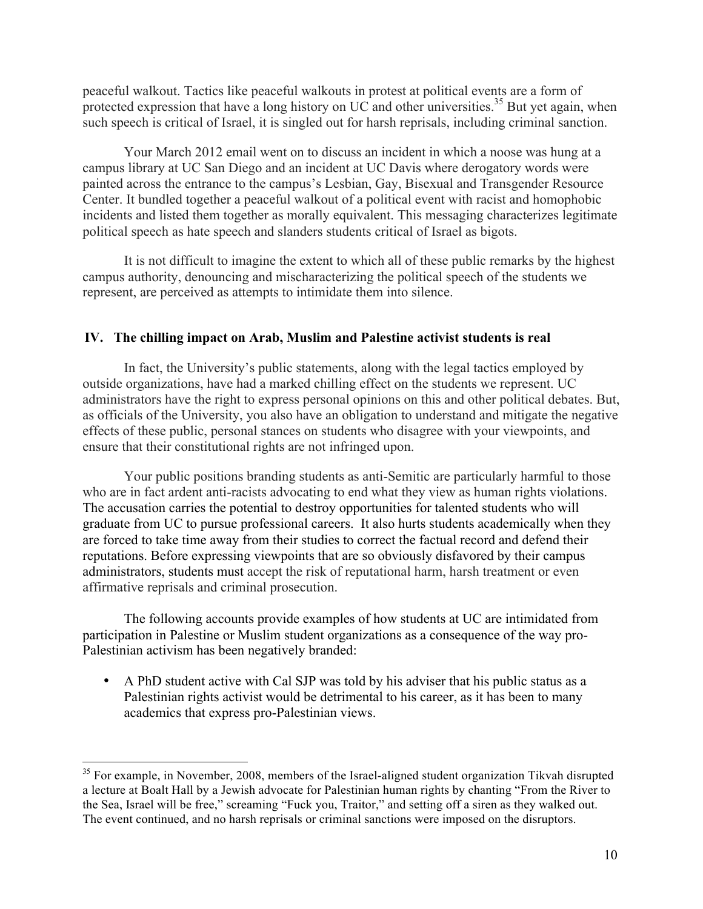peaceful walkout. Tactics like peaceful walkouts in protest at political events are a form of protected expression that have a long history on UC and other universities.<sup>35</sup> But yet again, when such speech is critical of Israel, it is singled out for harsh reprisals, including criminal sanction.

Your March 2012 email went on to discuss an incident in which a noose was hung at a campus library at UC San Diego and an incident at UC Davis where derogatory words were painted across the entrance to the campus's Lesbian, Gay, Bisexual and Transgender Resource Center. It bundled together a peaceful walkout of a political event with racist and homophobic incidents and listed them together as morally equivalent. This messaging characterizes legitimate political speech as hate speech and slanders students critical of Israel as bigots.

It is not difficult to imagine the extent to which all of these public remarks by the highest campus authority, denouncing and mischaracterizing the political speech of the students we represent, are perceived as attempts to intimidate them into silence.

## **IV. The chilling impact on Arab, Muslim and Palestine activist students is real**

In fact, the University's public statements, along with the legal tactics employed by outside organizations, have had a marked chilling effect on the students we represent. UC administrators have the right to express personal opinions on this and other political debates. But, as officials of the University, you also have an obligation to understand and mitigate the negative effects of these public, personal stances on students who disagree with your viewpoints, and ensure that their constitutional rights are not infringed upon.

Your public positions branding students as anti-Semitic are particularly harmful to those who are in fact ardent anti-racists advocating to end what they view as human rights violations. The accusation carries the potential to destroy opportunities for talented students who will graduate from UC to pursue professional careers. It also hurts students academically when they are forced to take time away from their studies to correct the factual record and defend their reputations. Before expressing viewpoints that are so obviously disfavored by their campus administrators, students must accept the risk of reputational harm, harsh treatment or even affirmative reprisals and criminal prosecution.

The following accounts provide examples of how students at UC are intimidated from participation in Palestine or Muslim student organizations as a consequence of the way pro-Palestinian activism has been negatively branded:

• A PhD student active with Cal SJP was told by his adviser that his public status as a Palestinian rights activist would be detrimental to his career, as it has been to many academics that express pro-Palestinian views.

 $35$  For example, in November, 2008, members of the Israel-aligned student organization Tikvah disrupted a lecture at Boalt Hall by a Jewish advocate for Palestinian human rights by chanting "From the River to the Sea, Israel will be free," screaming "Fuck you, Traitor," and setting off a siren as they walked out. The event continued, and no harsh reprisals or criminal sanctions were imposed on the disruptors.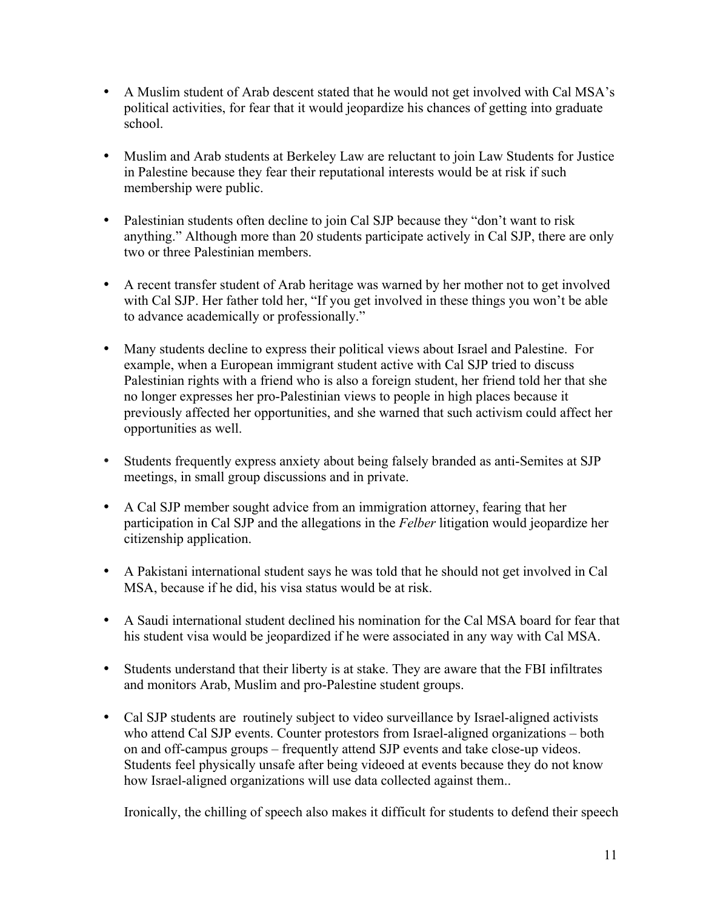- A Muslim student of Arab descent stated that he would not get involved with Cal MSA's political activities, for fear that it would jeopardize his chances of getting into graduate school.
- Muslim and Arab students at Berkeley Law are reluctant to join Law Students for Justice in Palestine because they fear their reputational interests would be at risk if such membership were public.
- Palestinian students often decline to join Cal SJP because they "don't want to risk anything." Although more than 20 students participate actively in Cal SJP, there are only two or three Palestinian members.
- A recent transfer student of Arab heritage was warned by her mother not to get involved with Cal SJP. Her father told her, "If you get involved in these things you won't be able to advance academically or professionally."
- Many students decline to express their political views about Israel and Palestine. For example, when a European immigrant student active with Cal SJP tried to discuss Palestinian rights with a friend who is also a foreign student, her friend told her that she no longer expresses her pro-Palestinian views to people in high places because it previously affected her opportunities, and she warned that such activism could affect her opportunities as well.
- Students frequently express anxiety about being falsely branded as anti-Semites at SJP meetings, in small group discussions and in private.
- A Cal SJP member sought advice from an immigration attorney, fearing that her participation in Cal SJP and the allegations in the *Felber* litigation would jeopardize her citizenship application.
- A Pakistani international student says he was told that he should not get involved in Cal MSA, because if he did, his visa status would be at risk.
- A Saudi international student declined his nomination for the Cal MSA board for fear that his student visa would be jeopardized if he were associated in any way with Cal MSA.
- Students understand that their liberty is at stake. They are aware that the FBI infiltrates and monitors Arab, Muslim and pro-Palestine student groups.
- Cal SJP students are routinely subject to video surveillance by Israel-aligned activists who attend Cal SJP events. Counter protestors from Israel-aligned organizations – both on and off-campus groups – frequently attend SJP events and take close-up videos. Students feel physically unsafe after being videoed at events because they do not know how Israel-aligned organizations will use data collected against them..

Ironically, the chilling of speech also makes it difficult for students to defend their speech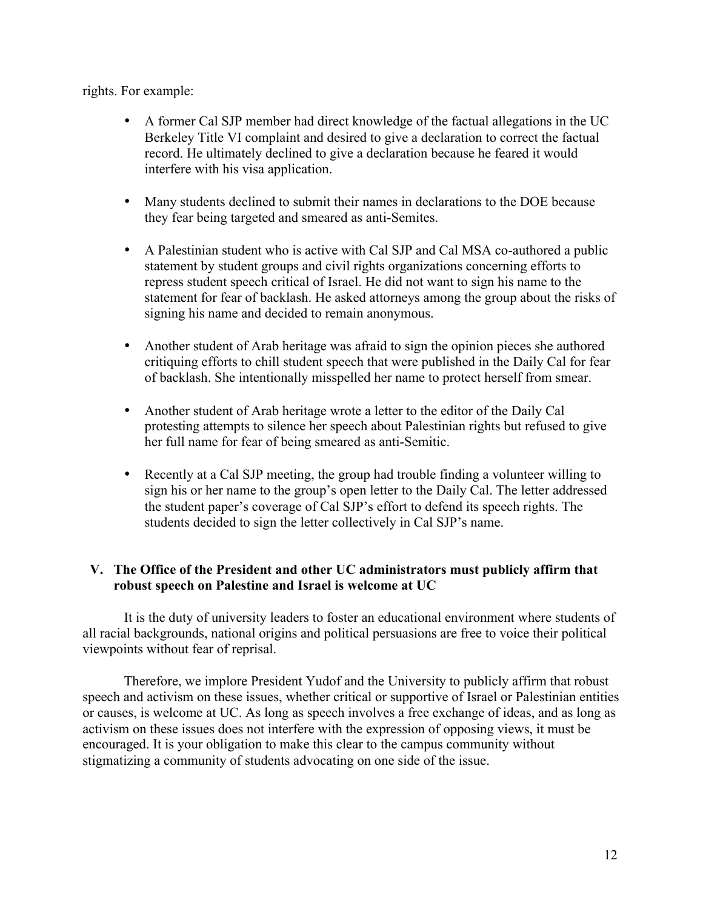rights. For example:

- A former Cal SJP member had direct knowledge of the factual allegations in the UC Berkeley Title VI complaint and desired to give a declaration to correct the factual record. He ultimately declined to give a declaration because he feared it would interfere with his visa application.
- Many students declined to submit their names in declarations to the DOE because they fear being targeted and smeared as anti-Semites.
- A Palestinian student who is active with Cal SJP and Cal MSA co-authored a public statement by student groups and civil rights organizations concerning efforts to repress student speech critical of Israel. He did not want to sign his name to the statement for fear of backlash. He asked attorneys among the group about the risks of signing his name and decided to remain anonymous.
- Another student of Arab heritage was afraid to sign the opinion pieces she authored critiquing efforts to chill student speech that were published in the Daily Cal for fear of backlash. She intentionally misspelled her name to protect herself from smear.
- Another student of Arab heritage wrote a letter to the editor of the Daily Cal protesting attempts to silence her speech about Palestinian rights but refused to give her full name for fear of being smeared as anti-Semitic.
- Recently at a Cal SJP meeting, the group had trouble finding a volunteer willing to sign his or her name to the group's open letter to the Daily Cal. The letter addressed the student paper's coverage of Cal SJP's effort to defend its speech rights. The students decided to sign the letter collectively in Cal SJP's name.

# **V. The Office of the President and other UC administrators must publicly affirm that robust speech on Palestine and Israel is welcome at UC**

It is the duty of university leaders to foster an educational environment where students of all racial backgrounds, national origins and political persuasions are free to voice their political viewpoints without fear of reprisal.

Therefore, we implore President Yudof and the University to publicly affirm that robust speech and activism on these issues, whether critical or supportive of Israel or Palestinian entities or causes, is welcome at UC. As long as speech involves a free exchange of ideas, and as long as activism on these issues does not interfere with the expression of opposing views, it must be encouraged. It is your obligation to make this clear to the campus community without stigmatizing a community of students advocating on one side of the issue.